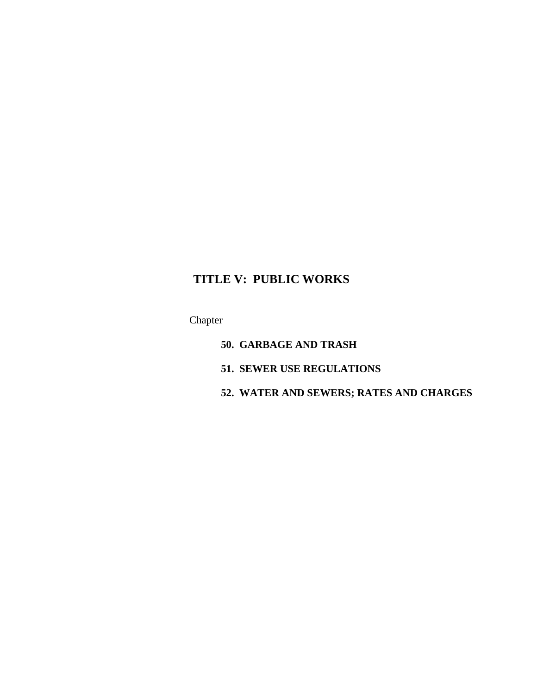# **TITLE V: PUBLIC WORKS**

Chapter

- **50. GARBAGE AND TRASH**
- **51. SEWER USE REGULATIONS**
- **52. WATER AND SEWERS; RATES AND CHARGES**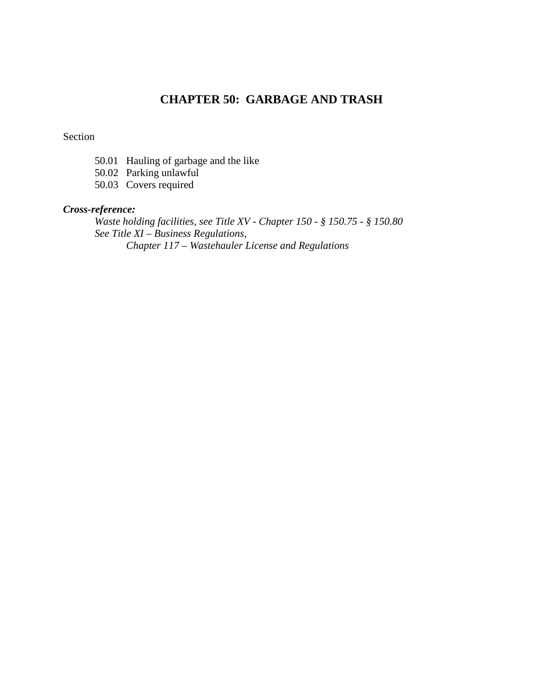## **CHAPTER 50: GARBAGE AND TRASH**

### Section

- 50.01 Hauling of garbage and the like
- 50.02 Parking unlawful
- 50.03 Covers required

## *Cross-reference:*

*Waste holding facilities, see Title XV - Chapter 150 - § 150.75 - § 150.80 See Title XI – Business Regulations, Chapter 117 – Wastehauler License and Regulations*